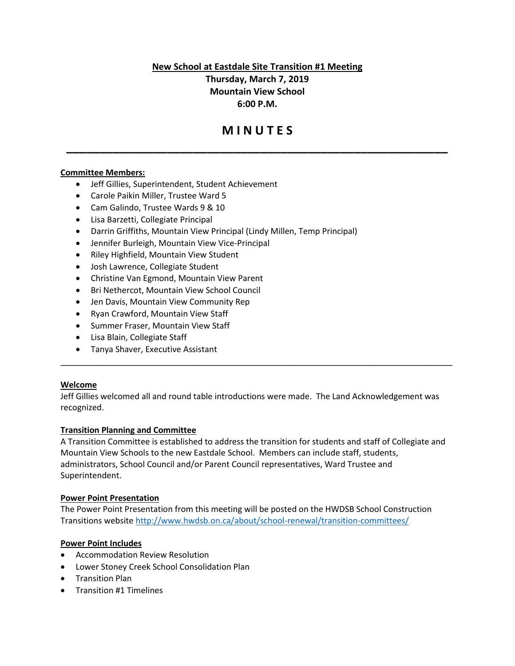**New School at Eastdale Site Transition #1 Meeting**

**Thursday, March 7, 2019 Mountain View School 6:00 P.M.**

# **M I N U T E S**

**\_\_\_\_\_\_\_\_\_\_\_\_\_\_\_\_\_\_\_\_\_\_\_\_\_\_\_\_\_\_\_\_\_\_\_\_\_\_\_\_\_\_\_\_\_\_\_\_\_\_\_\_\_\_\_\_\_**

# **Committee Members:**

- Jeff Gillies, Superintendent, Student Achievement
- Carole Paikin Miller, Trustee Ward 5
- Cam Galindo, Trustee Wards 9 & 10
- Lisa Barzetti, Collegiate Principal
- Darrin Griffiths, Mountain View Principal (Lindy Millen, Temp Principal)
- Jennifer Burleigh, Mountain View Vice-Principal
- Riley Highfield, Mountain View Student
- Josh Lawrence, Collegiate Student
- Christine Van Egmond, Mountain View Parent
- Bri Nethercot, Mountain View School Council
- Jen Davis, Mountain View Community Rep
- Ryan Crawford, Mountain View Staff
- Summer Fraser, Mountain View Staff
- Lisa Blain, Collegiate Staff
- Tanya Shaver, Executive Assistant

#### **Welcome**

Jeff Gillies welcomed all and round table introductions were made. The Land Acknowledgement was recognized.

\_\_\_\_\_\_\_\_\_\_\_\_\_\_\_\_\_\_\_\_\_\_\_\_\_\_\_\_\_\_\_\_\_\_\_\_\_\_\_\_\_\_\_\_\_\_\_\_\_\_\_\_\_\_\_\_\_\_\_\_\_\_\_\_\_\_\_\_\_\_\_\_\_\_\_\_\_\_

## **Transition Planning and Committee**

A Transition Committee is established to address the transition for students and staff of Collegiate and Mountain View Schools to the new Eastdale School. Members can include staff, students, administrators, School Council and/or Parent Council representatives, Ward Trustee and Superintendent.

#### **Power Point Presentation**

The Power Point Presentation from this meeting will be posted on the HWDSB School Construction Transitions website<http://www.hwdsb.on.ca/about/school-renewal/transition-committees/>

## **Power Point Includes**

- Accommodation Review Resolution
- Lower Stoney Creek School Consolidation Plan
- Transition Plan
- Transition #1 Timelines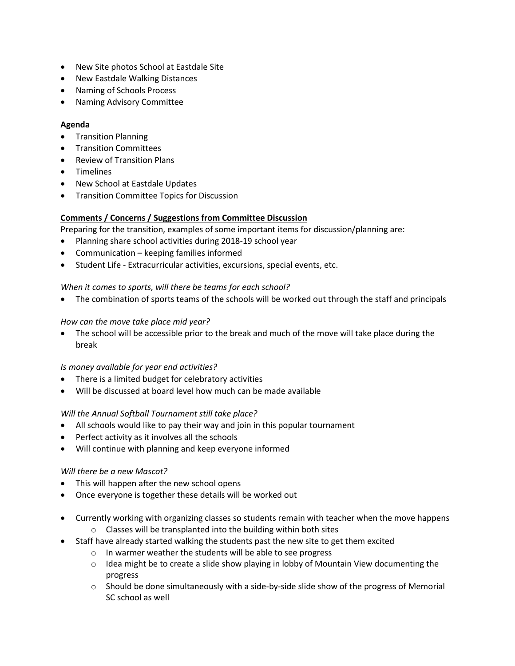- New Site photos School at Eastdale Site
- New Eastdale Walking Distances
- Naming of Schools Process
- Naming Advisory Committee

## **Agenda**

- Transition Planning
- Transition Committees
- Review of Transition Plans
- Timelines
- New School at Eastdale Updates
- Transition Committee Topics for Discussion

# **Comments / Concerns / Suggestions from Committee Discussion**

Preparing for the transition, examples of some important items for discussion/planning are:

- Planning share school activities during 2018-19 school year
- Communication keeping families informed
- Student Life Extracurricular activities, excursions, special events, etc.

# *When it comes to sports, will there be teams for each school?*

• The combination of sports teams of the schools will be worked out through the staff and principals

# *How can the move take place mid year?*

• The school will be accessible prior to the break and much of the move will take place during the break

## *Is money available for year end activities?*

- There is a limited budget for celebratory activities
- Will be discussed at board level how much can be made available

## *Will the Annual Softball Tournament still take place?*

- All schools would like to pay their way and join in this popular tournament
- Perfect activity as it involves all the schools
- Will continue with planning and keep everyone informed

# *Will there be a new Mascot?*

- This will happen after the new school opens
- Once everyone is together these details will be worked out
- Currently working with organizing classes so students remain with teacher when the move happens o Classes will be transplanted into the building within both sites
- Staff have already started walking the students past the new site to get them excited
	- o In warmer weather the students will be able to see progress
	- o Idea might be to create a slide show playing in lobby of Mountain View documenting the progress
	- $\circ$  Should be done simultaneously with a side-by-side slide show of the progress of Memorial SC school as well